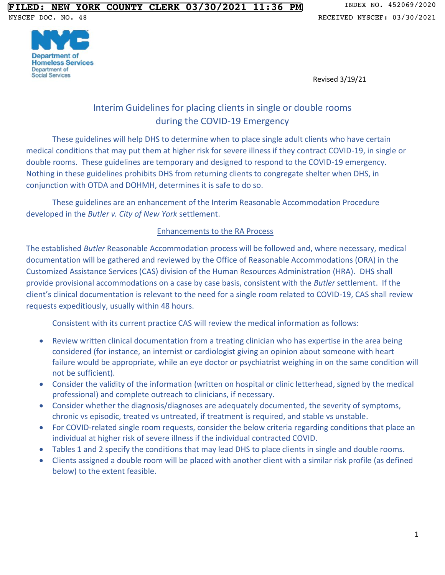



Revised 3/19/21

# Interim Guidelines for placing clients in single or double rooms during the COVID-19 Emergency

These guidelines will help DHS to determine when to place single adult clients who have certain medical conditions that may put them at higher risk for severe illness if they contract COVID-19, in single or double rooms. These guidelines are temporary and designed to respond to the COVID-19 emergency. Nothing in these guidelines prohibits DHS from returning clients to congregate shelter when DHS, in conjunction with OTDA and DOHMH, determines it is safe to do so.

These guidelines are an enhancement of the Interim Reasonable Accommodation Procedure developed in the *Butler v. City of New York* settlement.

#### Enhancements to the RA Process

The established *Butler* Reasonable Accommodation process will be followed and, where necessary, medical documentation will be gathered and reviewed by the Office of Reasonable Accommodations (ORA) in the Customized Assistance Services (CAS) division of the Human Resources Administration (HRA). DHS shall provide provisional accommodations on a case by case basis, consistent with the *Butler* settlement. If the client's clinical documentation is relevant to the need for a single room related to COVID-19, CAS shall review requests expeditiously, usually within 48 hours.

Consistent with its current practice CAS will review the medical information as follows:

- Review written clinical documentation from a treating clinician who has expertise in the area being considered (for instance, an internist or cardiologist giving an opinion about someone with heart failure would be appropriate, while an eye doctor or psychiatrist weighing in on the same condition will not be sufficient).
- Consider the validity of the information (written on hospital or clinic letterhead, signed by the medical professional) and complete outreach to clinicians, if necessary.
- Consider whether the diagnosis/diagnoses are adequately documented, the severity of symptoms, chronic vs episodic, treated vs untreated, if treatment is required, and stable vs unstable.
- For COVID-related single room requests, consider the below criteria regarding conditions that place an individual at higher risk of severe illness if the individual contracted COVID.
- Tables 1 and 2 specify the conditions that may lead DHS to place clients in single and double rooms.
- Clients assigned a double room will be placed with another client with a similar risk profile (as defined below) to the extent feasible.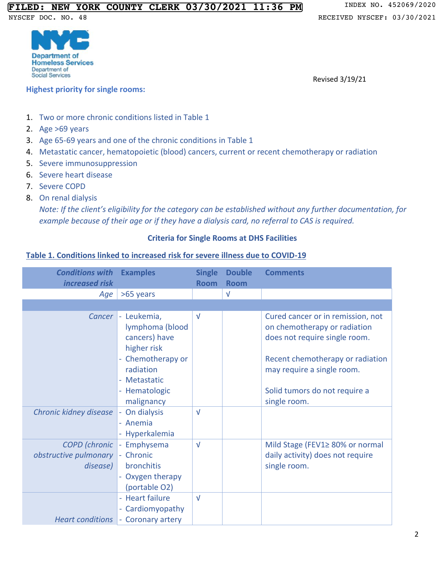

**Highest priority for single rooms:**

Revised 3/19/21

- 1. Two or more chronic conditions listed in Table 1
- 2. Age >69 years
- 3. Age 65-69 years and one of the chronic conditions in Table 1
- 4. Metastatic cancer, hematopoietic (blood) cancers, current or recent chemotherapy or radiation
- 5. Severe immunosuppression
- 6. Severe heart disease
- 7. Severe COPD
- 8. On renal dialysis

*Note: If the client's eligibility for the category can be established without any further documentation, for example because of their age or if they have a dialysis card, no referral to CAS is required.*

#### **Criteria for Single Rooms at DHS Facilities**

#### **Table 1. Conditions linked to increased risk for severe illness due to COVID-19**

| <b>Conditions with</b><br>increased risk                  | <b>Examples</b>                                                                                                                                         | <b>Single</b><br><b>Room</b> | <b>Double</b><br><b>Room</b> | <b>Comments</b>                                                                                                                                                                                                       |
|-----------------------------------------------------------|---------------------------------------------------------------------------------------------------------------------------------------------------------|------------------------------|------------------------------|-----------------------------------------------------------------------------------------------------------------------------------------------------------------------------------------------------------------------|
| Age                                                       | >65 years                                                                                                                                               |                              | $\sqrt{ }$                   |                                                                                                                                                                                                                       |
|                                                           |                                                                                                                                                         |                              |                              |                                                                                                                                                                                                                       |
| Cancer                                                    | Leukemia,<br>$\equiv$<br>lymphoma (blood<br>cancers) have<br>higher risk<br>Chemotherapy or<br>radiation<br>- Metastatic<br>- Hematologic<br>malignancy | $\sqrt{ }$                   |                              | Cured cancer or in remission, not<br>on chemotherapy or radiation<br>does not require single room.<br>Recent chemotherapy or radiation<br>may require a single room.<br>Solid tumors do not require a<br>single room. |
| Chronic kidney disease                                    | On dialysis<br>- Anemia<br>Hyperkalemia                                                                                                                 | $\sqrt{ }$                   |                              |                                                                                                                                                                                                                       |
| <b>COPD</b> (chronic<br>obstructive pulmonary<br>disease) | Emphysema<br>$\equiv$<br>- Chronic<br>bronchitis<br>- Oxygen therapy<br>(portable O2)                                                                   | $\sqrt{ }$                   |                              | Mild Stage (FEV1≥ 80% or normal<br>daily activity) does not require<br>single room.                                                                                                                                   |
| <b>Heart conditions</b>                                   | - Heart failure<br>- Cardiomyopathy<br>- Coronary artery                                                                                                | $\sqrt{ }$                   |                              |                                                                                                                                                                                                                       |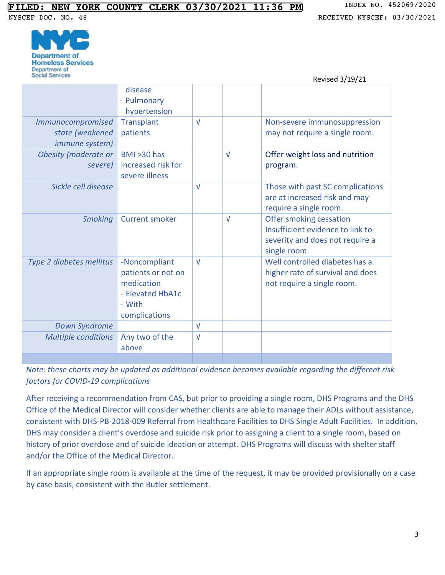Revised 3/19/21



|                                                                      |                                                                                                  |            |            | LEVISED 3/19/21                                                                                                |
|----------------------------------------------------------------------|--------------------------------------------------------------------------------------------------|------------|------------|----------------------------------------------------------------------------------------------------------------|
|                                                                      | disease<br>- Pulmonary<br>hypertension                                                           |            |            |                                                                                                                |
| <i>Immunocompromised</i><br>state (weakened<br><i>immune system)</i> | <b>Transplant</b><br>patients                                                                    | $\sqrt{ }$ |            | Non-severe immunosuppression<br>may not require a single room.                                                 |
| <b>Obesity (moderate or</b><br>severe)                               | <b>BMI &gt;30 has</b><br>increased risk for<br>severe illness                                    |            | $\sqrt{ }$ | Offer weight loss and nutrition<br>program.                                                                    |
| Sickle cell disease                                                  |                                                                                                  | $\sqrt{ }$ |            | Those with past SC complications<br>are at increased risk and may<br>require a single room.                    |
| <b>Smoking</b>                                                       | <b>Current smoker</b>                                                                            |            | $\sqrt{ }$ | Offer smoking cessation<br>Insufficient evidence to link to<br>severity and does not require a<br>single room. |
| Type 2 diabetes mellitus                                             | -Noncompliant<br>patients or not on<br>medication<br>- Elevated HbA1c<br>- With<br>complications | $\sqrt{ }$ |            | Well controlled diabetes has a<br>higher rate of survival and does<br>not require a single room.               |
| <b>Down Syndrome</b>                                                 |                                                                                                  | $\sqrt{ }$ |            |                                                                                                                |
| <b>Multiple conditions</b>                                           | Any two of the<br>above                                                                          | $\sqrt{ }$ |            |                                                                                                                |
|                                                                      |                                                                                                  |            |            |                                                                                                                |

*Note: these charts may be updated as additional evidence becomes available regarding the different risk factors for COVID-19 complications* 

After receiving a recommendation from CAS, but prior to providing a single room, DHS Programs and the DHS Office of the Medical Director will consider whether clients are able to manage their ADLs without assistance, consistent with DHS-PB-2018-009 Referral from Healthcare Facilities to DHS Single Adult Facilities. In addition, DHS may consider a client's overdose and suicide risk prior to assigning a client to a single room, based on history of prior overdose and of suicide ideation or attempt. DHS Programs will discuss with shelter staff and/or the Office of the Medical Director.

If an appropriate single room is available at the time of the request, it may be provided provisionally on a case by case basis, consistent with the Butler settlement.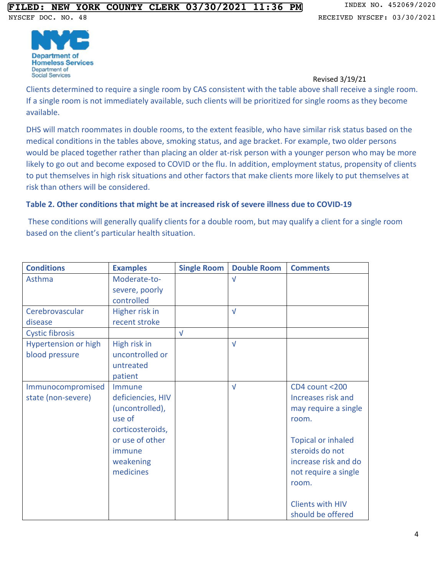

Revised 3/19/21

Clients determined to require a single room by CAS consistent with the table above shall receive a single room. If a single room is not immediately available, such clients will be prioritized for single rooms as they become available.

DHS will match roommates in double rooms, to the extent feasible, who have similar risk status based on the medical conditions in the tables above, smoking status, and age bracket. For example, two older persons would be placed together rather than placing an older at-risk person with a younger person who may be more likely to go out and become exposed to COVID or the flu. In addition, employment status, propensity of clients to put themselves in high risk situations and other factors that make clients more likely to put themselves at risk than others will be considered.

#### **Table 2. Other conditions that might be at increased risk of severe illness due to COVID-19**

These conditions will generally qualify clients for a double room, but may qualify a client for a single room based on the client's particular health situation.

| <b>Conditions</b>           | <b>Examples</b>   | <b>Single Room</b> | <b>Double Room</b> | <b>Comments</b>           |
|-----------------------------|-------------------|--------------------|--------------------|---------------------------|
| Asthma                      | Moderate-to-      |                    | $\sqrt{ }$         |                           |
|                             | severe, poorly    |                    |                    |                           |
|                             | controlled        |                    |                    |                           |
| Cerebrovascular             | Higher risk in    |                    | $\sqrt{ }$         |                           |
| disease                     | recent stroke     |                    |                    |                           |
| <b>Cystic fibrosis</b>      |                   | $\sqrt{ }$         |                    |                           |
| <b>Hypertension or high</b> | High risk in      |                    | $\sqrt{ }$         |                           |
| blood pressure              | uncontrolled or   |                    |                    |                           |
|                             | untreated         |                    |                    |                           |
|                             | patient           |                    |                    |                           |
| Immunocompromised           | Immune            |                    | $\sqrt{ }$         | CD4 count <200            |
| state (non-severe)          | deficiencies, HIV |                    |                    | Increases risk and        |
|                             | (uncontrolled),   |                    |                    | may require a single      |
|                             | use of            |                    |                    | room.                     |
|                             | corticosteroids,  |                    |                    |                           |
|                             | or use of other   |                    |                    | <b>Topical or inhaled</b> |
|                             | immune            |                    |                    | steroids do not           |
|                             | weakening         |                    |                    | increase risk and do      |
|                             | medicines         |                    |                    | not require a single      |
|                             |                   |                    |                    | room.                     |
|                             |                   |                    |                    |                           |
|                             |                   |                    |                    | <b>Clients with HIV</b>   |
|                             |                   |                    |                    | should be offered         |